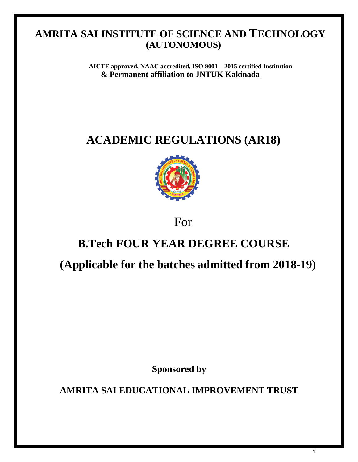# **AMRITA SAI INSTITUTE OF SCIENCE AND TECHNOLOGY (AUTONOMOUS)**

**AICTE approved, NAAC accredited, ISO 9001 – 2015 certified Institution & Permanent affiliation to JNTUK Kakinada**

# **ACADEMIC REGULATIONS (AR18)**



For

# **B.Tech FOUR YEAR DEGREE COURSE**

**(Applicable for the batches admitted from 2018-19)**

**Sponsored by**

**AMRITA SAI EDUCATIONAL IMPROVEMENT TRUST**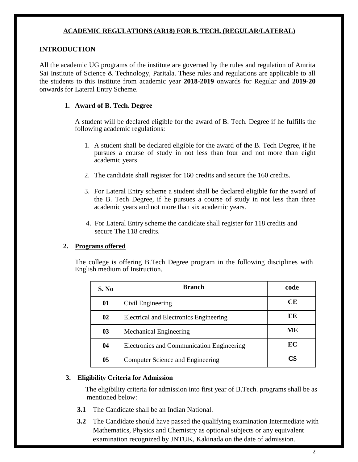# **ACADEMIC REGULATIONS (AR18) FOR B. TECH. (REGULAR/LATERAL)**

# **INTRODUCTION**

All the academic UG programs of the institute are governed by the rules and regulation of Amrita Sai Institute of Science & Technology, Paritala. These rules and regulations are applicable to all the students to this institute from academic year **2018-2019** onwards for Regular and **2019-20** onwards for Lateral Entry Scheme.

# **1. Award of B. Tech. Degree**

A student will be declared eligible for the award of B. Tech. Degree if he fulfills the following academic regulations:

- 1. A student shall be declared eligible for the award of the B. Tech Degree, if he pursues a course of study in not less than four and not more than eight academic years.
- 2. The candidate shall register for 160 credits and secure the 160 credits.
- 3. For Lateral Entry scheme a student shall be declared eligible for the award of the B. Tech Degree, if he pursues a course of study in not less than three academic years and not more than six academic years.
- 4. For Lateral Entry scheme the candidate shall register for 118 credits and secure The 118 credits.

# **2. Programs offered**

The college is offering B.Tech Degree program in the following disciplines with English medium of Instruction.

| S. No          | Branch                                    | code |
|----------------|-------------------------------------------|------|
| 01             | Civil Engineering                         | CЕ   |
| 02             | Electrical and Electronics Engineering    | EE   |
| 03             | Mechanical Engineering                    | ME   |
| 04             | Electronics and Communication Engineering | EC   |
| 0 <sub>5</sub> | Computer Science and Engineering          | СS   |

### **3. Eligibility Criteria for Admission**

 The eligibility criteria for admission into first year of B.Tech. programs shall be as mentioned below:

- **3.1** The Candidate shall be an Indian National.
- **3.2** The Candidate should have passed the qualifying examination Intermediate with Mathematics, Physics and Chemistry as optional subjects or any equivalent examination recognized by JNTUK, Kakinada on the date of admission.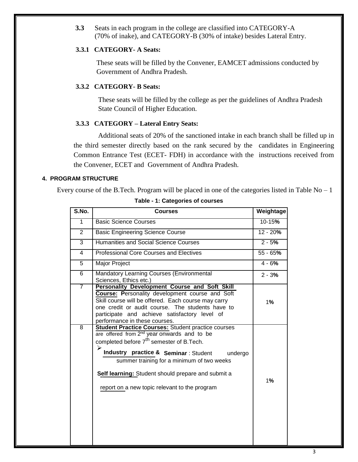**3.3** Seats in each program in the college are classified into CATEGORY-A (70% of inake), and CATEGORY-B (30% of intake) besides Lateral Entry.

### **3.3.1 CATEGORY- A Seats:**

 These seats will be filled by the Convener, EAMCET admissions conducted by Government of Andhra Pradesh.

## **3.3.2 CATEGORY- B Seats:**

 These seats will be filled by the college as per the guidelines of Andhra Pradesh State Council of Higher Education.

#### **3.3.3 CATEGORY – Lateral Entry Seats:**

 Additional seats of 20% of the sanctioned intake in each branch shall be filled up in the third semester directly based on the rank secured by the candidates in Engineering Common Entrance Test (ECET- FDH) in accordance with the instructions received from the Convener, ECET and Government of Andhra Pradesh.

## **4. PROGRAM STRUCTURE**

Every course of the B.Tech. Program will be placed in one of the categories listed in Table  $No-1$ 

| S.No.          | <b>Courses</b>                                                                                                                                                                                                                                                                                                                                                                            | Weightage  |
|----------------|-------------------------------------------------------------------------------------------------------------------------------------------------------------------------------------------------------------------------------------------------------------------------------------------------------------------------------------------------------------------------------------------|------------|
| $\mathbf{1}$   | <b>Basic Science Courses</b>                                                                                                                                                                                                                                                                                                                                                              | 10-15%     |
| $\overline{2}$ | <b>Basic Engineering Science Course</b>                                                                                                                                                                                                                                                                                                                                                   |            |
| 3              | <b>Humanities and Social Science Courses</b>                                                                                                                                                                                                                                                                                                                                              | $2 - 5%$   |
| 4              | <b>Professional Core Courses and Electives</b>                                                                                                                                                                                                                                                                                                                                            | $55 - 65%$ |
| 5              | Major Project                                                                                                                                                                                                                                                                                                                                                                             | $4 - 6%$   |
| $\overline{6}$ | <b>Mandatory Learning Courses (Environmental</b><br>Sciences, Ethics etc.)                                                                                                                                                                                                                                                                                                                | $2 - 3%$   |
| 7              | Personality Development Course and Soft Skill<br>Course: Personality development course and Soft<br>Skill course will be offered. Each course may carry<br>one credit or audit course. The students have to<br>participate and achieve satisfactory level of<br>performance in these courses.                                                                                             |            |
| $\overline{8}$ | <b>Student Practice Courses: Student practice courses</b><br>are offered from 2 <sup>nd</sup> year onwards and to be<br>completed before 7 <sup>th</sup> semester of B.Tech.<br>➤<br>Industry practice & Seminar: Student<br>undergo<br>summer training for a minimum of two weeks<br>Self learning: Student should prepare and submit a<br>report on a new topic relevant to the program | 1%         |

**Table - 1: Categories of courses**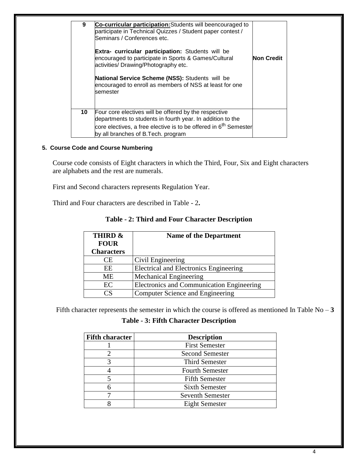| 9  | Co-curricular participation: Students will beencouraged to<br>participate in Technical Quizzes / Student paper contest /<br>Seminars / Conferences etc.<br><b>Extra- curricular participation:</b> Students will be<br>encouraged to participate in Sports & Games/Cultural<br>activities/Drawing/Photography etc.<br>National Service Scheme (NSS): Students will be<br>encouraged to enroll as members of NSS at least for one<br>semester | <b>Non Credit</b> |
|----|----------------------------------------------------------------------------------------------------------------------------------------------------------------------------------------------------------------------------------------------------------------------------------------------------------------------------------------------------------------------------------------------------------------------------------------------|-------------------|
| 10 | Four core electives will be offered by the respective<br>departments to students in fourth year. In addition to the<br>core electives, a free elective is to be offered in 6 <sup>th</sup> Semester<br>by all branches of B.Tech. program                                                                                                                                                                                                    |                   |

## **5. Course Code and Course Numbering**

 Course code consists of Eight characters in which the Third, Four, Six and Eight characters are alphabets and the rest are numerals.

First and Second characters represents Regulation Year.

Third and Four characters are described in Table - 2**.**

| THIRD &<br><b>FOUR</b>   | <b>Name of the Department</b>             |  |
|--------------------------|-------------------------------------------|--|
| <b>Characters</b>        |                                           |  |
| <b>CE</b>                | Civil Engineering                         |  |
| EE                       | Electrical and Electronics Engineering    |  |
| ME                       | <b>Mechanical Engineering</b>             |  |
| EC                       | Electronics and Communication Engineering |  |
| $\mathcal{C}\mathcal{S}$ | Computer Science and Engineering          |  |

**Table - 2: Third and Four Character Description**

Fifth character represents the semester in which the course is offered as mentioned In Table No – **3**

## **Table - 3: Fifth Character Description**

| <b>Fifth character</b> | <b>Description</b>      |
|------------------------|-------------------------|
|                        | <b>First Semester</b>   |
|                        | <b>Second Semester</b>  |
|                        | <b>Third Semester</b>   |
|                        | <b>Fourth Semester</b>  |
|                        | <b>Fifth Semester</b>   |
|                        | <b>Sixth Semester</b>   |
|                        | <b>Seventh Semester</b> |
|                        | <b>Eight Semester</b>   |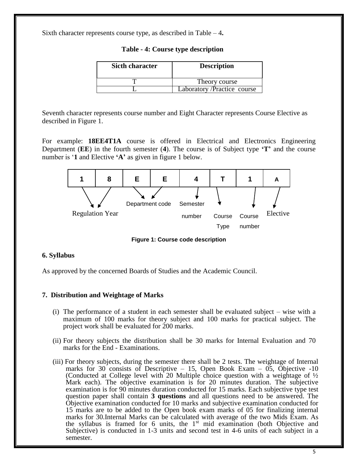Sixth character represents course type, as described in Table – 4**.**

| <b>Sicth character</b> | <b>Description</b>           |
|------------------------|------------------------------|
|                        | Theory course                |
|                        | Laboratory / Practice course |

 **Table - 4: Course type description**

Seventh character represents course number and Eight Character represents Course Elective as described in Figure 1.

For example: **18EE4T1A** course is offered in Electrical and Electronics Engineering Department (**EE**) in the fourth semester (**4**). The course is of Subject type **'T'** and the course number is '**1** and Elective **'A'** as given in figure 1 below.



**Figure 1: Course code description**

### **6. Syllabus**

As approved by the concerned Boards of Studies and the Academic Council.

### **7. Distribution and Weightage of Marks**

- (i) The performance of a student in each semester shall be evaluated subject wise with a maximum of 100 marks for theory subject and 100 marks for practical subject. The project work shall be evaluated for 200 marks.
- (ii) For theory subjects the distribution shall be 30 marks for Internal Evaluation and 70 marks for the End - Examinations.
- (iii) For theory subjects, during the semester there shall be 2 tests. The weightage of Internal marks for 30 consists of Descriptive  $-15$ , Open Book Exam  $-05$ , Objective  $-10$ (Conducted at College level with 20 Multiple choice question with a weightage of ½ Mark each). The objective examination is for 20 minutes duration. The subjective examination is for 90 minutes duration conducted for 15 marks. Each subjective type test question paper shall contain **3 questions** and all questions need to be answered. The Objective examination conducted for 10 marks and subjective examination conducted for 15 marks are to be added to the Open book exam marks of 05 for finalizing internal marks for 30.Internal Marks can be calculated with average of the two Mids Exam. As the syllabus is framed for 6 units, the  $1<sup>st</sup>$  mid examination (both Objective and Subjective) is conducted in 1-3 units and second test in 4-6 units of each subject in a semester.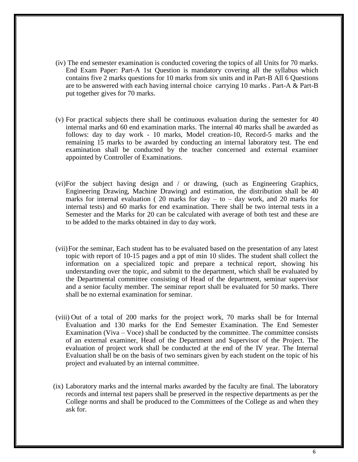- (iv) The end semester examination is conducted covering the topics of all Units for 70 marks. End Exam Paper: Part-A 1st Question is mandatory covering all the syllabus which contains five 2 marks questions for 10 marks from six units and in Part-B All 6 Questions are to be answered with each having internal choice carrying 10 marks . Part-A & Part-B put together gives for 70 marks.
- (v) For practical subjects there shall be continuous evaluation during the semester for 40 internal marks and 60 end examination marks. The internal 40 marks shall be awarded as follows: day to day work - 10 marks, Model creation-10, Record-5 marks and the remaining 15 marks to be awarded by conducting an internal laboratory test. The end examination shall be conducted by the teacher concerned and external examiner appointed by Controller of Examinations.
- (vi)For the subject having design and / or drawing, (such as Engineering Graphics, Engineering Drawing, Machine Drawing) and estimation, the distribution shall be 40 marks for internal evaluation ( $20$  marks for day – to – day work, and  $20$  marks for internal tests) and 60 marks for end examination. There shall be two internal tests in a Semester and the Marks for 20 can be calculated with average of both test and these are to be added to the marks obtained in day to day work.
- (vii)For the seminar, Each student has to be evaluated based on the presentation of any latest topic with report of 10-15 pages and a ppt of min 10 slides. The student shall collect the information on a specialized topic and prepare a technical report, showing his understanding over the topic, and submit to the department, which shall be evaluated by the Departmental committee consisting of Head of the department, seminar supervisor and a senior faculty member. The seminar report shall be evaluated for 50 marks. There shall be no external examination for seminar.
- (viii) Out of a total of 200 marks for the project work, 70 marks shall be for Internal Evaluation and 130 marks for the End Semester Examination. The End Semester Examination (Viva – Voce) shall be conducted by the committee. The committee consists of an external examiner, Head of the Department and Supervisor of the Project. The evaluation of project work shall be conducted at the end of the IV year. The Internal Evaluation shall be on the basis of two seminars given by each student on the topic of his project and evaluated by an internal committee.
- (ix) Laboratory marks and the internal marks awarded by the faculty are final. The laboratory records and internal test papers shall be preserved in the respective departments as per the College norms and shall be produced to the Committees of the College as and when they ask for.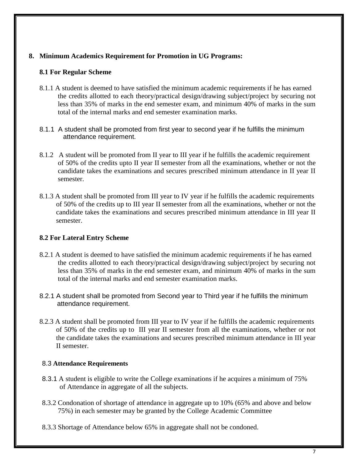# **8. Minimum Academics Requirement for Promotion in UG Programs:**

# **8.1 For Regular Scheme**

- 8.1.1 A student is deemed to have satisfied the minimum academic requirements if he has earned the credits allotted to each theory/practical design/drawing subject/project by securing not less than 35% of marks in the end semester exam, and minimum 40% of marks in the sum total of the internal marks and end semester examination marks.
- 8.1.1 A student shall be promoted from first year to second year if he fulfills the minimum attendance requirement.
- 8.1.2 A student will be promoted from II year to III year if he fulfills the academic requirement of 50% of the credits upto II year II semester from all the examinations, whether or not the candidate takes the examinations and secures prescribed minimum attendance in II year II semester.
- 8.1.3 A student shall be promoted from III year to IV year if he fulfills the academic requirements of 50% of the credits up to III year II semester from all the examinations, whether or not the candidate takes the examinations and secures prescribed minimum attendance in III year II semester.

# **8.2 For Lateral Entry Scheme**

- 8.2.1 A student is deemed to have satisfied the minimum academic requirements if he has earned the credits allotted to each theory/practical design/drawing subject/project by securing not less than 35% of marks in the end semester exam, and minimum 40% of marks in the sum total of the internal marks and end semester examination marks.
- 8.2.1 A student shall be promoted from Second year to Third year if he fulfills the minimum attendance requirement.
- 8.2.3 A student shall be promoted from III year to IV year if he fulfills the academic requirements of 50% of the credits up to III year II semester from all the examinations, whether or not the candidate takes the examinations and secures prescribed minimum attendance in III year II semester.

# 8.3 **Attendance Requirements**

- 8.3.1 A student is eligible to write the College examinations if he acquires a minimum of 75% of Attendance in aggregate of all the subjects.
- 8.3.2 Condonation of shortage of attendance in aggregate up to 10% (65% and above and below 75%) in each semester may be granted by the College Academic Committee
- 8.3.3 Shortage of Attendance below 65% in aggregate shall not be condoned.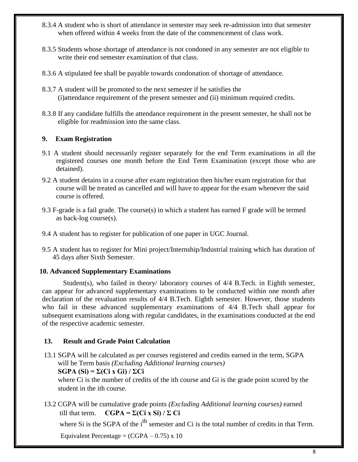- 8.3.4 A student who is short of attendance in semester may seek re-admission into that semester when offered within 4 weeks from the date of the commencement of class work.
- 8.3.5 Students whose shortage of attendance is not condoned in any semester are not eligible to write their end semester examination of that class.
- 8.3.6 A stipulated fee shall be payable towards condonation of shortage of attendance.
- 8.3.7 A student will be promoted to the next semester if he satisfies the (i)attendance requirement of the present semester and (ii) minimum required credits.
- 8.3.8 If any candidate fulfills the attendance requirement in the present semester, he shall not be eligible for readmission into the same class.

### **9. Exam Registration**

- 9.1 A student should necessarily register separately for the end Term examinations in all the registered courses one month before the End Term Examination (except those who are detained).
- 9.2 A student detains in a course after exam registration then his/her exam registration for that course will be treated as cancelled and will have to appear for the exam whenever the said course is offered.
- 9.3 F-grade is a fail grade. The course(s) in which a student has earned F grade will be termed as back-log course(s).
- 9.4 A student has to register for publication of one paper in UGC Journal.
- 9.5 A student has to register for Mini project/Internship/Industrial training which has duration of 45 days after Sixth Semester.

# **10. Advanced Supplementary Examinations**

Student(s), who failed in theory/ laboratory courses of 4/4 B.Tech. in Eighth semester, can appear for advanced supplementary examinations to be conducted within one month after declaration of the revaluation results of 4/4 B.Tech. Eighth semester. However, those students who fail in these advanced supplementary examinations of 4/4 B.Tech shall appear for subsequent examinations along with regular candidates, in the examinations conducted at the end of the respective academic semester.

# **13. Result and Grade Point Calculation**

13.1 SGPA will be calculated as per courses registered and credits earned in the term, SGPA will be Term basis *(Excluding Additional learning courses)*

### **SGPA (Si) =**  $\Sigma$ **(Ci x Gi) /**  $\Sigma$ **Ci**

 where Ci is the number of credits of the ith course and Gi is the grade point scored by the student in the ith course.

13.2 CGPA will be cumulative grade points *(Excluding Additional learning courses)* earned till that term. **CGPA** =  $\Sigma$ **C**i x Si) /  $\Sigma$  Ci

where Si is the SGPA of the  $i<sup>th</sup>$  semester and Ci is the total number of credits in that Term.

Equivalent Percentage =  $(CGPA - 0.75) \times 10$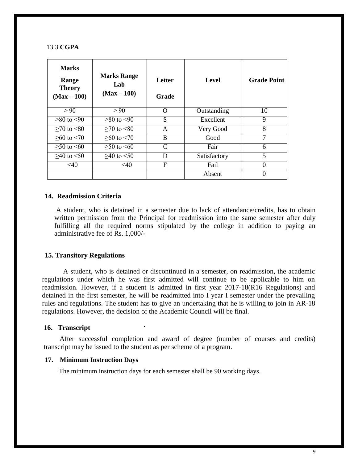#### 13.3 **CGPA**

| <b>Marks</b><br>Range<br><b>Theory</b><br>$(Max-100)$ | <b>Marks Range</b><br>Lab<br>$(Max-100)$ | Letter<br>Grade | <b>Level</b> | <b>Grade Point</b> |
|-------------------------------------------------------|------------------------------------------|-----------------|--------------|--------------------|
| > 90                                                  | > 90                                     | O               | Outstanding  | 10                 |
| $>80$ to $< 90$                                       | $>80$ to $< 90$                          | S               | Excellent    | 9                  |
| $>70$ to $< 80$                                       | $>70$ to $< 80$                          | A               | Very Good    | 8                  |
| $>60$ to $< 70$                                       | $>60$ to $< 70$                          | B               | Good         | $\tau$             |
| $≥ 50$ to $≤ 60$                                      | $>50$ to $<60$                           | $\mathcal{C}$   | Fair         | 6                  |
| $≥40$ to $≤50$                                        | $>40$ to $< 50$                          | D               | Satisfactory | 5                  |
| $<$ 40                                                | $<$ 40                                   | F               | Fail         | 0                  |
|                                                       |                                          |                 | Absent       |                    |

### **14. Readmission Criteria**

 A student, who is detained in a semester due to lack of attendance/credits, has to obtain written permission from the Principal for readmission into the same semester after duly fulfilling all the required norms stipulated by the college in addition to paying an administrative fee of Rs. 1,000/-

#### **15. Transitory Regulations**

A student, who is detained or discontinued in a semester, on readmission, the academic regulations under which he was first admitted will continue to be applicable to him on readmission. However, if a student is admitted in first year 2017-18(R16 Regulations) and detained in the first semester, he will be readmitted into I year I semester under the prevailing rules and regulations. The student has to give an undertaking that he is willing to join in AR-18 regulations. However, the decision of the Academic Council will be final.

#### **16. Transcript**

 After successful completion and award of degree (number of courses and credits) transcript may be issued to the student as per scheme of a program.

#### **17. Minimum Instruction Days**

The minimum instruction days for each semester shall be 90 working days.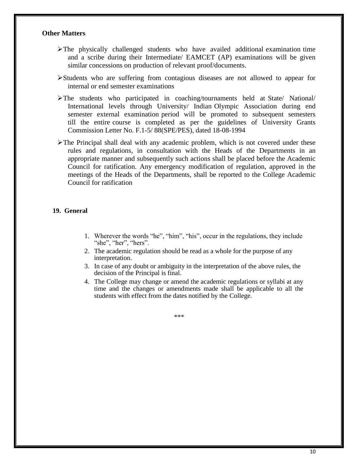#### **Other Matters**

- $\blacktriangleright$  The physically challenged students who have availed additional examination time and a scribe during their Intermediate/ EAMCET (AP) examinations will be given similar concessions on production of relevant proof/documents.
- Students who are suffering from contagious diseases are not allowed to appear for internal or end semester examinations
- $\blacktriangleright$  The students who participated in coaching/tournaments held at State/ National/ International levels through University/ Indian Olympic Association during end semester external examination period will be promoted to subsequent semesters till the entire course is completed as per the guidelines of University Grants Commission Letter No. F.1-5/ 88(SPE/PES), dated 18-08-1994
- $\blacktriangleright$  The Principal shall deal with any academic problem, which is not covered under these rules and regulations, in consultation with the Heads of the Departments in an appropriate manner and subsequently such actions shall be placed before the Academic Council for ratification. Any emergency modification of regulation, approved in the meetings of the Heads of the Departments, shall be reported to the College Academic Council for ratification

#### **19. General**

- 1. Wherever the words "he", "him", "his", occur in the regulations, they include "she", "her", "hers".
- 2. The academic regulation should be read as a whole for the purpose of any interpretation.
- 3. In case of any doubt or ambiguity in the interpretation of the above rules, the decision of the Principal is final.
- 4. The College may change or amend the academic regulations or syllabi at any time and the changes or amendments made shall be applicable to all the students with effect from the dates notified by the College.

\*\*\*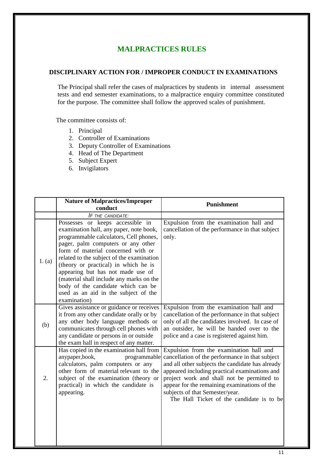# **MALPRACTICES RULES**

## **DISCIPLINARY ACTION FOR / IMPROPER CONDUCT IN EXAMINATIONS**

The Principal shall refer the cases of malpractices by students in internal assessment tests and end semester examinations, to a malpractice enquiry committee constituted for the purpose. The committee shall follow the approved scales of punishment.

The committee consists of:

- 1. Principal
- 2. Controller of Examinations
- 3. Deputy Controller of Examinations
- 4. Head of The Department
- 5. Subject Expert
- 6. Invigilators

|        | <b>Nature of Malpractices/Improper</b><br>conduct                                                                                                                                                                                                                                                                                                                                                                                                                     | <b>Punishment</b>                                                                                                                                                                                                                                                                                                                                                             |
|--------|-----------------------------------------------------------------------------------------------------------------------------------------------------------------------------------------------------------------------------------------------------------------------------------------------------------------------------------------------------------------------------------------------------------------------------------------------------------------------|-------------------------------------------------------------------------------------------------------------------------------------------------------------------------------------------------------------------------------------------------------------------------------------------------------------------------------------------------------------------------------|
|        | <b>IF THE CANDIDATE:</b>                                                                                                                                                                                                                                                                                                                                                                                                                                              |                                                                                                                                                                                                                                                                                                                                                                               |
| 1. (a) | Possesses or keeps accessible in<br>examination hall, any paper, note book,<br>programmable calculators, Cell phones,<br>pager, palm computers or any other<br>form of material concerned with or<br>related to the subject of the examination<br>(theory or practical) in which he is<br>appearing but has not made use of<br>(material shall include any marks on the<br>body of the candidate which can be<br>used as an aid in the subject of the<br>examination) | Expulsion from the examination hall and<br>cancellation of the performance in that subject<br>only.                                                                                                                                                                                                                                                                           |
| (b)    | Gives assistance or guidance or receives<br>it from any other candidate orally or by<br>any other body language methods or<br>communicates through cell phones with<br>any candidate or persons in or outside<br>the exam hall in respect of any matter.                                                                                                                                                                                                              | Expulsion from the examination hall and<br>cancellation of the performance in that subject<br>only of all the candidates involved. In case of<br>an outsider, he will be handed over to the<br>police and a case is registered against him.                                                                                                                                   |
| 2.     | Has copied in the examination hall from<br>anypaper, book,<br>programmable<br>calculators, palm computers or any<br>other form of material relevant to the<br>subject of the examination (theory or<br>practical) in which the candidate is<br>appearing.                                                                                                                                                                                                             | Expulsion from the examination hall and<br>cancellation of the performance in that subject<br>and all other subjects the candidate has already<br>appeared including practical examinations and<br>project work and shall not be permitted to<br>appear for the remaining examinations of the<br>subjects of that Semester/year.<br>The Hall Ticket of the candidate is to be |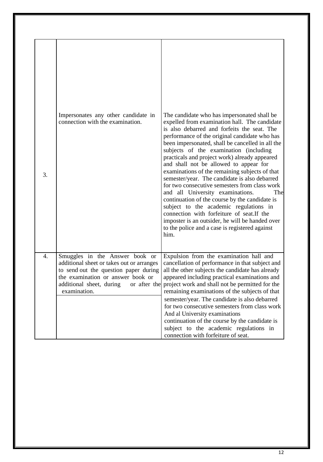| 3. | Impersonates any other candidate in<br>connection with the examination.                                                                                                                                               | The candidate who has impersonated shall be<br>expelled from examination hall. The candidate<br>is also debarred and forfeits the seat. The<br>performance of the original candidate who has<br>been impersonated, shall be cancelled in all the<br>subjects of the examination (including<br>practicals and project work) already appeared<br>and shall not be allowed to appear for<br>examinations of the remaining subjects of that<br>semester/year. The candidate is also debarred<br>for two consecutive semesters from class work<br>and all University examinations.<br>The<br>continuation of the course by the candidate is<br>subject to the academic regulations in<br>connection with forfeiture of seat. If the<br>imposter is an outsider, he will be handed over<br>to the police and a case is registered against<br>him. |
|----|-----------------------------------------------------------------------------------------------------------------------------------------------------------------------------------------------------------------------|---------------------------------------------------------------------------------------------------------------------------------------------------------------------------------------------------------------------------------------------------------------------------------------------------------------------------------------------------------------------------------------------------------------------------------------------------------------------------------------------------------------------------------------------------------------------------------------------------------------------------------------------------------------------------------------------------------------------------------------------------------------------------------------------------------------------------------------------|
| 4. | Smuggles in the Answer book or<br>additional sheet or takes out or arranges<br>to send out the question paper during<br>the examination or answer book or<br>additional sheet, during<br>or after the<br>examination. | Expulsion from the examination hall and<br>cancellation of performance in that subject and<br>all the other subjects the candidate has already<br>appeared including practical examinations and<br>project work and shall not be permitted for the<br>remaining examinations of the subjects of that<br>semester/year. The candidate is also debarred<br>for two consecutive semesters from class work                                                                                                                                                                                                                                                                                                                                                                                                                                      |
|    |                                                                                                                                                                                                                       | And al University examinations<br>continuation of the course by the candidate is<br>subject to the academic regulations in<br>connection with forfeiture of seat.                                                                                                                                                                                                                                                                                                                                                                                                                                                                                                                                                                                                                                                                           |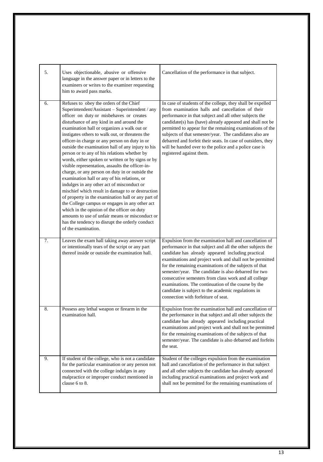| 5. | Uses objectionable, abusive or offensive<br>language in the answer paper or in letters to the<br>examiners or writes to the examiner requesting<br>him to award pass marks.                                                                                                                                                                                                                                                                                                                                                                                                                                                                                                                                                                                                                                                                                                                                                                                                                                                                    | Cancellation of the performance in that subject.                                                                                                                                                                                                                                                                                                                                                                                                                                                                                                                         |
|----|------------------------------------------------------------------------------------------------------------------------------------------------------------------------------------------------------------------------------------------------------------------------------------------------------------------------------------------------------------------------------------------------------------------------------------------------------------------------------------------------------------------------------------------------------------------------------------------------------------------------------------------------------------------------------------------------------------------------------------------------------------------------------------------------------------------------------------------------------------------------------------------------------------------------------------------------------------------------------------------------------------------------------------------------|--------------------------------------------------------------------------------------------------------------------------------------------------------------------------------------------------------------------------------------------------------------------------------------------------------------------------------------------------------------------------------------------------------------------------------------------------------------------------------------------------------------------------------------------------------------------------|
| 6. | Refuses to obey the orders of the Chief<br>Superintendent/Assistant - Superintendent / any<br>officer on duty or misbehaves or creates<br>disturbance of any kind in and around the<br>examination hall or organizes a walk out or<br>instigates others to walk out, or threatens the<br>officer-in charge or any person on duty in or<br>outside the examination hall of any injury to his<br>person or to any of his relations whether by<br>words, either spoken or written or by signs or by<br>visible representation, assaults the officer-in-<br>charge, or any person on duty in or outside the<br>examination hall or any of his relations, or<br>indulges in any other act of misconduct or<br>mischief which result in damage to or destruction<br>of property in the examination hall or any part of<br>the College campus or engages in any other act<br>which in the opinion of the officer on duty<br>amounts to use of unfair means or misconduct or<br>has the tendency to disrupt the orderly conduct<br>of the examination. | In case of students of the college, they shall be expelled<br>from examination halls and cancellation of their<br>performance in that subject and all other subjects the<br>candidate(s) has (have) already appeared and shall not be<br>permitted to appear for the remaining examinations of the<br>subjects of that semester/year. The candidates also are<br>debarred and forfeit their seats. In case of outsiders, they<br>will be handed over to the police and a police case is<br>registered against them.                                                      |
| 7. | Leaves the exam hall taking away answer script<br>or intentionally tears of the script or any part<br>thereof inside or outside the examination hall.                                                                                                                                                                                                                                                                                                                                                                                                                                                                                                                                                                                                                                                                                                                                                                                                                                                                                          | Expulsion from the examination hall and cancellation of<br>performance in that subject and all the other subjects the<br>candidate has already appeared including practical<br>examinations and project work and shall not be permitted<br>for the remaining examinations of the subjects of that<br>semester/year. The candidate is also debarred for two<br>consecutive semesters from class work and all college<br>examinations. The continuation of the course by the<br>candidate is subject to the academic regulations in<br>connection with forfeiture of seat. |
| 8. | Possess any lethal weapon or firearm in the<br>examination hall.                                                                                                                                                                                                                                                                                                                                                                                                                                                                                                                                                                                                                                                                                                                                                                                                                                                                                                                                                                               | Expulsion from the examination hall and cancellation of<br>the performance in that subject and all other subjects the<br>candidate has already appeared including practical<br>examinations and project work and shall not be permitted<br>for the remaining examinations of the subjects of that<br>semester/year. The candidate is also debarred and forfeits<br>the seat.                                                                                                                                                                                             |
| 9. | If student of the college, who is not a candidate<br>for the particular examination or any person not<br>connected with the college indulges in any<br>malpractice or improper conduct mentioned in<br>clause 6 to 8.                                                                                                                                                                                                                                                                                                                                                                                                                                                                                                                                                                                                                                                                                                                                                                                                                          | Student of the colleges expulsion from the examination<br>hall and cancellation of the performance in that subject<br>and all other subjects the candidate has already appeared<br>including practical examinations and project work and<br>shall not be permitted for the remaining examinations of                                                                                                                                                                                                                                                                     |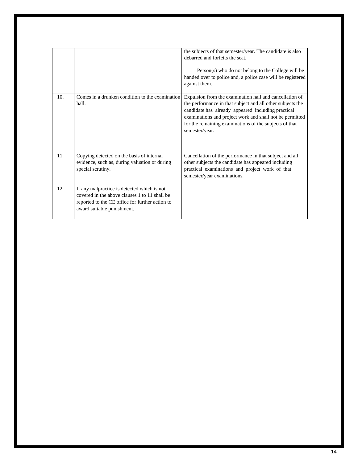|     |                                                                                                                                                                               | the subjects of that semester/year. The candidate is also<br>debarred and forfeits the seat.<br>Person(s) who do not belong to the College will be<br>handed over to police and, a police case will be registered<br>against them.                                                                                  |
|-----|-------------------------------------------------------------------------------------------------------------------------------------------------------------------------------|---------------------------------------------------------------------------------------------------------------------------------------------------------------------------------------------------------------------------------------------------------------------------------------------------------------------|
| 10. | Comes in a drunken condition to the examination<br>hall.                                                                                                                      | Expulsion from the examination hall and cancellation of<br>the performance in that subject and all other subjects the<br>candidate has already appeared including practical<br>examinations and project work and shall not be permitted<br>for the remaining examinations of the subjects of that<br>semester/year. |
| 11. | Copying detected on the basis of internal<br>evidence, such as, during valuation or during<br>special scrutiny.                                                               | Cancellation of the performance in that subject and all<br>other subjects the candidate has appeared including<br>practical examinations and project work of that<br>semester/year examinations.                                                                                                                    |
| 12. | If any malpractice is detected which is not<br>covered in the above clauses 1 to 11 shall be<br>reported to the CE office for further action to<br>award suitable punishment. |                                                                                                                                                                                                                                                                                                                     |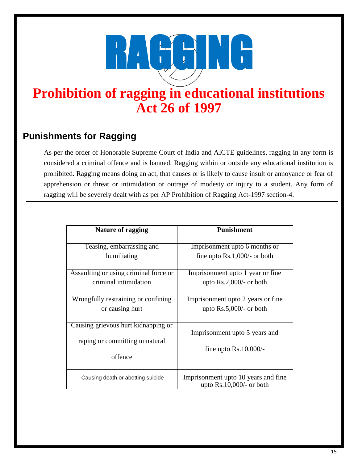

# **Prohibition of ragging in educational institutions Act 26 of 1997**

# **Punishments for Ragging**

As per the order of Honorable Supreme Court of India and AICTE guidelines, ragging in any form is considered a criminal offence and is banned. Ragging within or outside any educational institution is prohibited. Ragging means doing an act, that causes or is likely to cause insult or annoyance or fear of apprehension or threat or intimidation or outrage of modesty or injury to a student. Any form of ragging will be severely dealt with as per AP Prohibition of Ragging Act-1997 section-4.

| <b>Nature of ragging</b>              | <b>Punishment</b>                                                  |
|---------------------------------------|--------------------------------------------------------------------|
|                                       |                                                                    |
| Teasing, embarrassing and             | Imprisonment upto 6 months or                                      |
| humiliating                           | fine upto $Rs.1,000/-$ or both                                     |
|                                       |                                                                    |
| Assaulting or using criminal force or | Imprisonment upto 1 year or fine.                                  |
| criminal intimidation                 | upto $Rs.2,000/-$ or both                                          |
|                                       |                                                                    |
| Wrongfully restraining or confining   | Imprisonment upto 2 years or fine                                  |
| or causing hurt                       | upto $Rs.5,000/-$ or both                                          |
|                                       |                                                                    |
| Causing grievous hurt kidnapping or   |                                                                    |
|                                       | Imprisonment upto 5 years and                                      |
| raping or committing unnatural        | fine upto $Rs.10,000/-$                                            |
| offence                               |                                                                    |
|                                       |                                                                    |
| Causing death or abetting suicide     | Imprisonment upto 10 years and fine.<br>upto $Rs.10,000/-$ or both |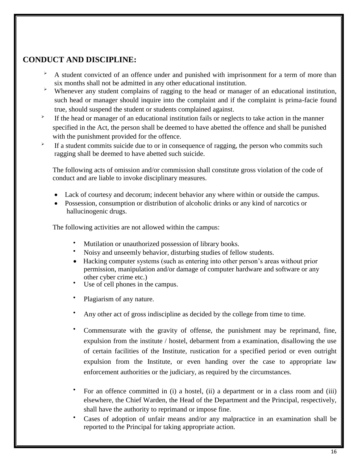# **CONDUCT AND DISCIPLINE:**

- $\rightarrow$  A student convicted of an offence under and punished with imprisonment for a term of more than six months shall not be admitted in any other educational institution.
- <sup>></sup> Whenever any student complains of ragging to the head or manager of an educational institution, such head or manager should inquire into the complaint and if the complaint is prima-facie found true, should suspend the student or students complained against.
- $\blacktriangleright$  If the head or manager of an educational institution fails or neglects to take action in the manner specified in the Act, the person shall be deemed to have abetted the offence and shall be punished with the punishment provided for the offence.
- $\blacktriangleright$  If a student commits suicide due to or in consequence of ragging, the person who commits such ragging shall be deemed to have abetted such suicide.

 The following acts of omission and/or commission shall constitute gross violation of the code of conduct and are liable to invoke disciplinary measures.

- Lack of courtesy and decorum; indecent behavior any where within or outside the campus.
- Possession, consumption or distribution of alcoholic drinks or any kind of narcotics or hallucinogenic drugs.

The following activities are not allowed within the campus:

- Mutilation or unauthorized possession of library books.
- Noisy and unseemly behavior, disturbing studies of fellow students.
- Hacking computer systems (such as entering into other person's areas without prior permission, manipulation and/or damage of computer hardware and software or any other cyber crime etc.)
- Use of cell phones in the campus.
- Plagiarism of any nature.
- Any other act of gross indiscipline as decided by the college from time to time.
- Commensurate with the gravity of offense, the punishment may be reprimand, fine, expulsion from the institute / hostel, debarment from a examination, disallowing the use of certain facilities of the Institute, rustication for a specified period or even outright expulsion from the Institute, or even handing over the case to appropriate law enforcement authorities or the judiciary, as required by the circumstances.
- For an offence committed in (i) a hostel, (ii) a department or in a class room and (iii) elsewhere, the Chief Warden, the Head of the Department and the Principal, respectively, shall have the authority to reprimand or impose fine.
- Cases of adoption of unfair means and/or any malpractice in an examination shall be reported to the Principal for taking appropriate action.